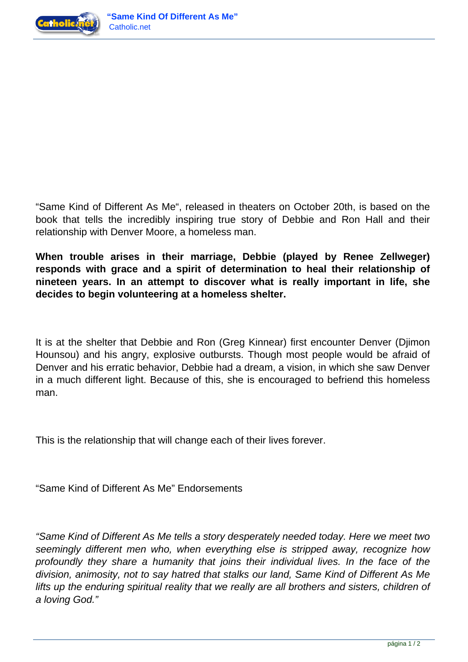



"Same Kind of Different As Me", released in theaters on October 20th, is based on the book that tells the incredibly inspiring true story of Debbie and Ron Hall and their relationship with Denver Moore, a homeless man.

**When trouble arises in their marriage, Debbie (played by Renee Zellweger) responds with grace and a spirit of determination to heal their relationship of nineteen years. In an attempt to discover what is really important in life, she decides to begin volunteering at a homeless shelter.**

It is at the shelter that Debbie and Ron (Greg Kinnear) first encounter Denver (Djimon Hounsou) and his angry, explosive outbursts. Though most people would be afraid of Denver and his erratic behavior, Debbie had a dream, a vision, in which she saw Denver in a much different light. Because of this, she is encouraged to befriend this homeless man.

This is the relationship that will change each of their lives forever.

"Same Kind of Different As Me" Endorsements

"Same Kind of Different As Me tells a story desperately needed today. Here we meet two seemingly different men who, when everything else is stripped away, recognize how profoundly they share a humanity that joins their individual lives. In the face of the division, animosity, not to say hatred that stalks our land, Same Kind of Different As Me lifts up the enduring spiritual reality that we really are all brothers and sisters, children of a loving God."